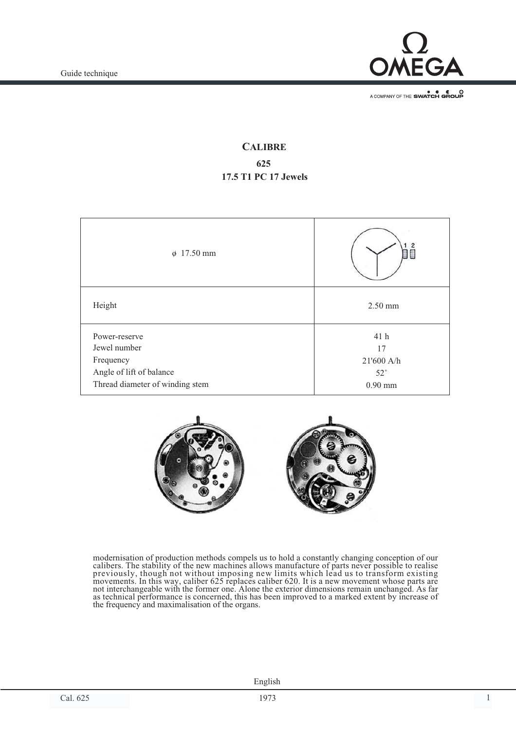

A COMPANY OF THE SWATCH GROUP

# **CALIBRE 625 17.5 T1 PC 17 Jewels**

| $\phi$ 17.50 mm                 |              |
|---------------------------------|--------------|
| Height                          | $2.50$ mm    |
| Power-reserve                   | 41 h         |
| Jewel number                    | 17           |
| Frequency                       | 21'600 A/h   |
| Angle of lift of balance        | $52^{\circ}$ |
| Thread diameter of winding stem | $0.90$ mm    |



modernisation of production methods compels us to hold a constantly changing conception of our calibers. The stability of the new machines allows manufacture of parts never possible to realise previously, though not without imposing new limits which lead us to transform existing movements. In this way, caliber 625 replaces caliber 620. It is a new movement whose parts are not interchangeable with the former one. Alone the exterior dimensions remain unchanged. As far as technical performance is concerned, this has been improved to a marked extent by increase of the frequency and maximalisation of the organs.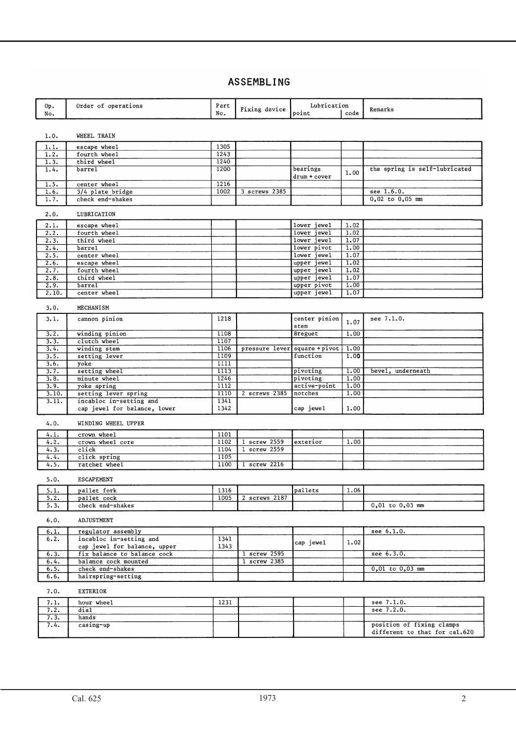## ASSEMBLING

| Οр.           | Order of operations                    | Part         | Fixing device  | Lubrication                |                    | Remarks                       |
|---------------|----------------------------------------|--------------|----------------|----------------------------|--------------------|-------------------------------|
| No.           |                                        | No.          |                | point                      | code               |                               |
|               |                                        |              |                |                            |                    |                               |
| 1.0.          | WHEEL TRAIN                            |              |                |                            |                    |                               |
|               |                                        | 1305         |                |                            |                    |                               |
| 1.1.<br>1.2.  | escape wheel<br>fourth wheel           | 1243         |                |                            |                    |                               |
| 1.3.          | third wheel                            | 1240         |                |                            |                    |                               |
| 1.4.          | barrel                                 | 1200         |                | bearings                   |                    | the spring is self-lubricated |
|               |                                        |              |                | drum + cover               | 1,00               |                               |
| 1.5.          | center wheel                           | 1216         |                |                            |                    |                               |
| 1.6.          | 3/4 plate bridge                       | 1002         | 3 screws 2385  |                            |                    | see 1.6.0.                    |
| 1.7.          | check end-shakes                       |              |                |                            |                    | $0,02$ to $0,05$ mm           |
|               |                                        |              |                |                            |                    |                               |
| 2.0.          | LUBRICATION                            |              |                |                            |                    |                               |
| 2.1.          | escape wheel                           |              |                | lower jewel                | 1.02               |                               |
| 2.2.          | fourth wheel                           |              |                | lower jewel                | 1.02               |                               |
| 2.3.          | third wheel                            |              |                | lower jewel                | 1.07               |                               |
| 2.4.          | barrel                                 |              |                | lower pivot<br>lower jewel | 1,00<br>1.07       |                               |
| 2.5.<br>2.6.  | center wheel<br>escape wheel           |              |                | upper jewel                | 1.02               |                               |
| 2.7.          | fourth wheel                           |              |                | upper jewel                | 1.02               |                               |
| 2.8.          | third wheel                            |              |                | upper jewel                | 1.07               |                               |
| 2.9.          | barrel                                 |              |                | upper pivot                | 1.00               |                               |
| 2.10.         | center wheel                           |              |                | upper jewel                | 1.07               |                               |
|               |                                        |              |                |                            |                    |                               |
| 3.0.          | MECHANISM                              |              |                |                            |                    |                               |
| 3.1.          | cannon pinion                          | 1218         |                | center pinion              |                    | see 7.1.0.                    |
|               |                                        |              |                | stem                       | 1.07               |                               |
| 3.2.          | winding pinion                         | 1108         |                | Breguet                    | 1.00               |                               |
| 3.3.          | clutch wheel                           | 1107         |                |                            |                    |                               |
| 3.4.          | winding stem                           | 1106         | pressure lever | square + pivot             | 1.00               |                               |
| 3.5.          | setting lever                          | 1109         |                | function                   | 1.00               |                               |
| 3.6.          | yoke                                   | 1111         |                |                            |                    |                               |
| 3.7.          | setting wheel                          | 1113         |                | pivoting                   | 1,00               | bevel, underneath             |
| 3.8.          | minute wheel                           | 1246<br>1112 |                | pivoting                   | 1.00<br>1.00       |                               |
| 3.9.<br>3.10. | yoke apring<br>setting lever spring    | 1110         | 2 screws 2385  | active-point<br>notches    | 1.00               |                               |
| 3.11.         | incabloc in-setting and                | 1341         |                |                            |                    |                               |
|               | cap jewel for balance, lower           | 1342         |                | cap jewel                  | 1.00               |                               |
|               |                                        |              |                |                            |                    |                               |
| 4.0.          | WINDING WHEEL UPPER                    |              |                |                            |                    |                               |
| 4.1.          | crown wheel                            | 1101         |                |                            |                    |                               |
| 4.2.          | crown wheel core                       | 1102         | 1 screw 2559   | exterior                   | 1.00               |                               |
| 4.3.          | click                                  | 1104         | 1 screw 2559   |                            |                    |                               |
| 4.4.          | click spring                           | 1105         |                |                            |                    |                               |
| 4.5.          | ratchet wheel                          | 1100         | 1 screw 2216   |                            |                    |                               |
|               |                                        |              |                |                            |                    |                               |
| 5.0.          | <b>ESCAPEMENT</b>                      |              |                |                            |                    |                               |
| 5.1.          | pallet fork                            | 1316         |                | pallets                    | $\vert 1.06 \vert$ |                               |
| 5.2.          | pallet cock                            | 1005         | 2 screws 2187  |                            |                    |                               |
| 5.3.          | check end-shakes                       |              |                |                            |                    | $0,01$ to $0,03$ mm           |
|               |                                        |              |                |                            |                    |                               |
| 6.0.          | <b>ADJUSTMENT</b>                      |              |                |                            |                    |                               |
| 6.1.          | regulator assembly                     |              |                |                            |                    | see 6.1.0.                    |
| 6.2.          | incabloc in-setting and                | 1341         |                | cap jewel                  | 1.02               |                               |
|               | cap jewel for balance, upper           | 1343         |                |                            |                    |                               |
| 6.3.          | fix balance to balance cock            |              | 1 screw 2595   |                            |                    | see 6.3.0.                    |
| 6.4.          | balance cock mounted                   |              | 1 screw 2385   |                            |                    |                               |
| 6.5.          | check end-shakes<br>hairspring-setting |              |                |                            |                    | $0,01$ to $0,03$ mm           |
| 6.6.          |                                        |              |                |                            |                    |                               |
| 7.0.          | <b>EXTERIOR</b>                        |              |                |                            |                    |                               |
|               |                                        |              |                |                            |                    |                               |
| 7.1.<br>7.2.  | hour wheel<br>$\overline{dia1}$        | 1231         |                |                            |                    | see 7.1.0.<br>see 7.2.0.      |
| 7.3.          | hands                                  |              |                |                            |                    |                               |
| 7.4.          | casing-up                              |              |                |                            |                    | position of fixing clamps     |
|               |                                        |              |                |                            |                    | different to that for cal.620 |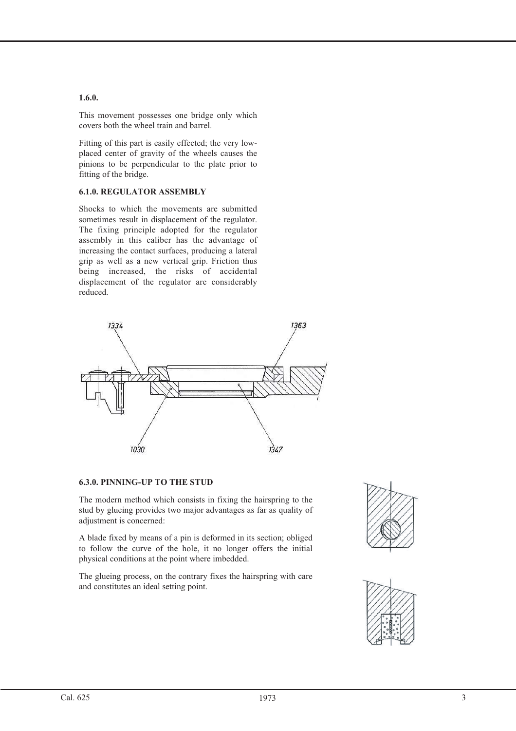#### **1.6.0.**

This movement possesses one bridge only which covers both the wheel train and barrel.

Fitting of this part is easily effected; the very lowplaced center of gravity of the wheels causes the pinions to be perpendicular to the plate prior to fitting of the bridge.

#### **6.1.0. REGULATOR ASSEMBLY**

Shocks to which the movements are submitted sometimes result in displacement of the regulator. The fixing principle adopted for the regulator assembly in this caliber has the advantage of increasing the contact surfaces, producing a lateral grip as well as a new vertical grip. Friction thus being increased, the risks of accidental displacement of the regulator are considerably reduced.



#### **6.3.0. PINNING-UP TO THE STUD**

The modern method which consists in fixing the hairspring to the stud by glueing provides two major advantages as far as quality of adjustment is concerned:

A blade fixed by means of a pin is deformed in its section; obliged to follow the curve of the hole, it no longer offers the initial physical conditions at the point where imbedded.

The glueing process, on the contrary fixes the hairspring with care and constitutes an ideal setting point.